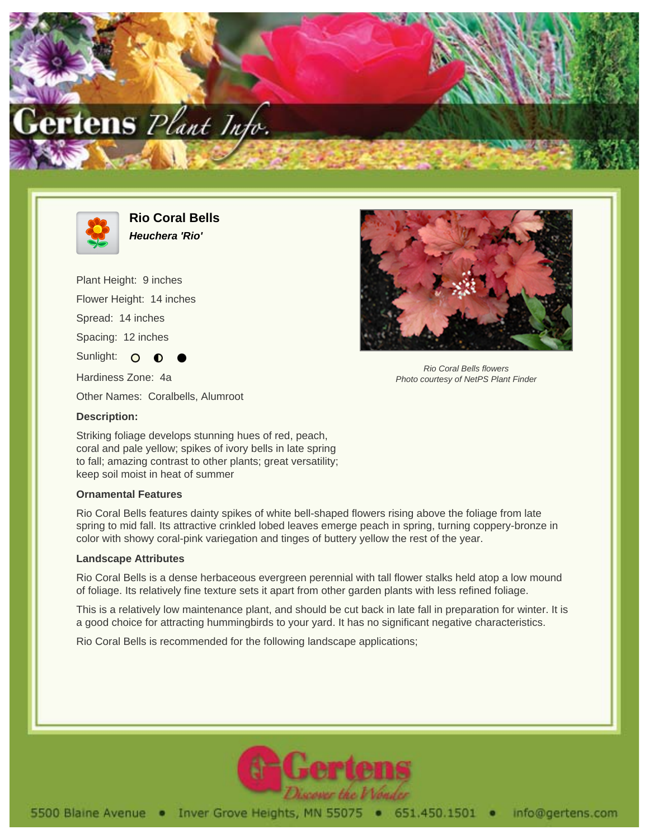



**Rio Coral Bells Heuchera 'Rio'**

Plant Height: 9 inches Flower Height: 14 inches Spread: 14 inches Spacing: 12 inches Sunlight: O Hardiness Zone: 4a



Rio Coral Bells flowers Photo courtesy of NetPS Plant Finder

Other Names: Coralbells, Alumroot

## **Description:**

Striking foliage develops stunning hues of red, peach, coral and pale yellow; spikes of ivory bells in late spring to fall; amazing contrast to other plants; great versatility; keep soil moist in heat of summer

## **Ornamental Features**

Rio Coral Bells features dainty spikes of white bell-shaped flowers rising above the foliage from late spring to mid fall. Its attractive crinkled lobed leaves emerge peach in spring, turning coppery-bronze in color with showy coral-pink variegation and tinges of buttery yellow the rest of the year.

## **Landscape Attributes**

Rio Coral Bells is a dense herbaceous evergreen perennial with tall flower stalks held atop a low mound of foliage. Its relatively fine texture sets it apart from other garden plants with less refined foliage.

This is a relatively low maintenance plant, and should be cut back in late fall in preparation for winter. It is a good choice for attracting hummingbirds to your yard. It has no significant negative characteristics.

Rio Coral Bells is recommended for the following landscape applications;